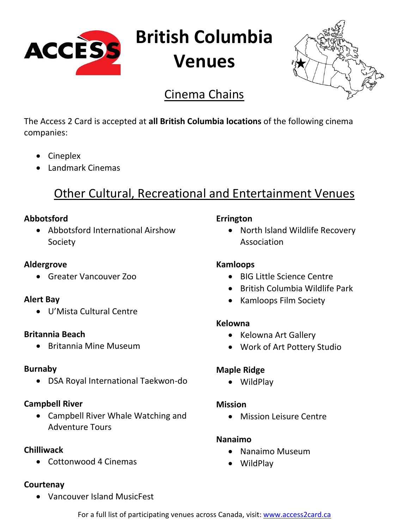

**British Columbia**

# **Venues**



# Cinema Chains

The Access 2 Card is accepted at **all British Columbia locations** of the following cinema companies:

- Cineplex
- Landmark Cinemas

# Other Cultural, Recreational and Entertainment Venues

# **Abbotsford**

• Abbotsford International Airshow Society

# **Aldergrove**

• Greater Vancouver Zoo

# **Alert Bay**

• U'Mista Cultural Centre

# **Britannia Beach**

• Britannia Mine Museum

# **Burnaby**

• DSA Royal International Taekwon-do

# **Campbell River**

• Campbell River Whale Watching and Adventure Tours

# **Chilliwack**

• Cottonwood 4 Cinemas

# **Courtenay**

• Vancouver Island MusicFest

# **Errington**

• North Island Wildlife Recovery Association

# **Kamloops**

- BIG Little Science Centre
- British Columbia Wildlife Park
- Kamloops Film Society

# **Kelowna**

- Kelowna Art Gallery
- Work of Art Pottery Studio

# **Maple Ridge**

• WildPlay

# **Mission**

• Mission Leisure Centre

# **Nanaimo**

- Nanaimo Museum
- WildPlay

For a full list of participating venues across Canada, visit: [www.access2card.ca](http://www.access2card.ca/)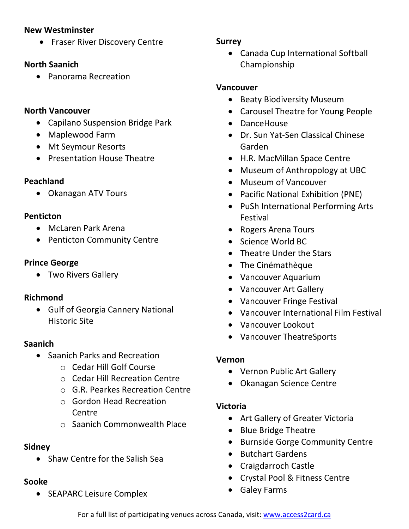#### **New Westminster**

• Fraser River Discovery Centre

#### **North Saanich**

• Panorama Recreation

#### **North Vancouver**

- Capilano Suspension Bridge Park
- Maplewood Farm
- Mt Seymour Resorts
- Presentation House Theatre

# **Peachland**

• Okanagan ATV Tours

#### **Penticton**

- McLaren Park Arena
- Penticton Community Centre

### **Prince George**

• Two Rivers Gallery

# **Richmond**

• Gulf of Georgia Cannery National Historic Site

# **Saanich**

- Saanich Parks and Recreation
	- o Cedar Hill Golf Course
	- o Cedar Hill Recreation Centre
	- o G.R. Pearkes Recreation Centre
	- o Gordon Head Recreation **Centre**
	- o Saanich Commonwealth Place

# **Sidney**

• Shaw Centre for the Salish Sea

# **Sooke**

• SEAPARC Leisure Complex

# **Surrey**

• Canada Cup International Softball Championship

# **Vancouver**

- Beaty Biodiversity Museum
- Carousel Theatre for Young People
- DanceHouse
- Dr. Sun Yat-Sen Classical Chinese Garden
- H.R. MacMillan Space Centre
- Museum of Anthropology at UBC
- Museum of Vancouver
- Pacific National Exhibition (PNE)
- PuSh International Performing Arts Festival
- Rogers Arena Tours
- Science World BC
- Theatre Under the Stars
- The Cinémathèque
- Vancouver Aquarium
- Vancouver Art Gallery
- Vancouver Fringe Festival
- Vancouver International Film Festival
- Vancouver Lookout
- Vancouver TheatreSports

# **Vernon**

- Vernon Public Art Gallery
- Okanagan Science Centre

# **Victoria**

- Art Gallery of Greater Victoria
- Blue Bridge Theatre
- Burnside Gorge Community Centre
- Butchart Gardens
- Craigdarroch Castle
- Crystal Pool & Fitness Centre
- Galey Farms